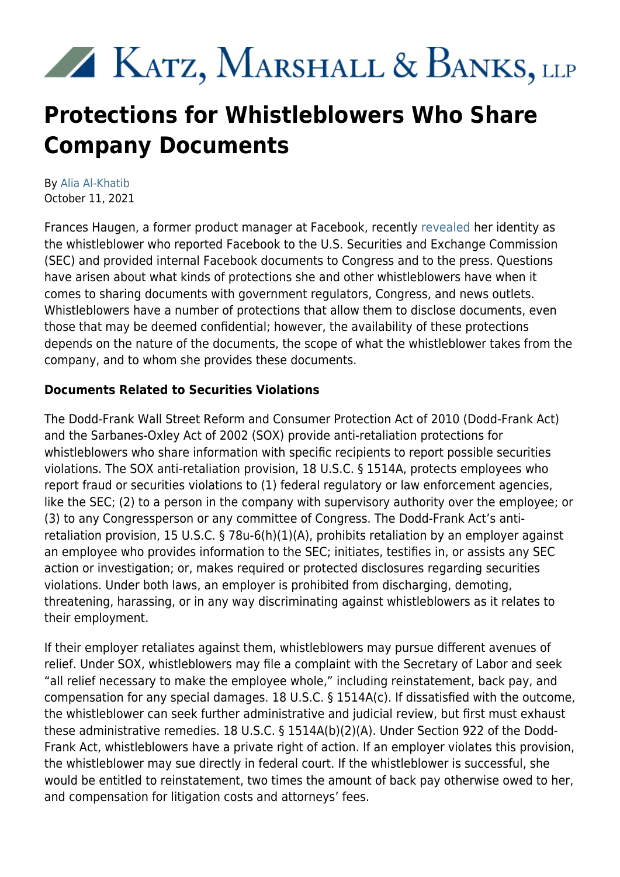# XX KATZ, MARSHALL & BANKS, LLP

# **Protections for Whistleblowers Who Share Company Documents**

By [Alia Al-Khatib](https://www.kmblegal.com/attorneys-and-staff/alia-al-khatib) October 11, 2021

Frances Haugen, a former product manager at Facebook, recently [revealed](https://www.nytimes.com/2021/10/03/technology/whistle-blower-facebook-frances-haugen.html?referringSource=articleShare) her identity as the whistleblower who reported Facebook to the U.S. Securities and Exchange Commission (SEC) and provided internal Facebook documents to Congress and to the press. Questions have arisen about what kinds of protections she and other whistleblowers have when it comes to sharing documents with government regulators, Congress, and news outlets. Whistleblowers have a number of protections that allow them to disclose documents, even those that may be deemed confidential; however, the availability of these protections depends on the nature of the documents, the scope of what the whistleblower takes from the company, and to whom she provides these documents.

## **Documents Related to Securities Violations**

The Dodd-Frank Wall Street Reform and Consumer Protection Act of 2010 (Dodd-Frank Act) and the Sarbanes-Oxley Act of 2002 (SOX) provide anti-retaliation protections for whistleblowers who share information with specific recipients to report possible securities violations. The SOX anti-retaliation provision, 18 U.S.C. § 1514A, protects employees who report fraud or securities violations to (1) federal regulatory or law enforcement agencies, like the SEC; (2) to a person in the company with supervisory authority over the employee; or (3) to any Congressperson or any committee of Congress. The Dodd-Frank Act's antiretaliation provision, 15 U.S.C. § 78u-6(h)(1)(A), prohibits retaliation by an employer against an employee who provides information to the SEC; initiates, testifies in, or assists any SEC action or investigation; or, makes required or protected disclosures regarding securities violations. Under both laws, an employer is prohibited from discharging, demoting, threatening, harassing, or in any way discriminating against whistleblowers as it relates to their employment.

If their employer retaliates against them, whistleblowers may pursue different avenues of relief. Under SOX, whistleblowers may file a complaint with the Secretary of Labor and seek "all relief necessary to make the employee whole," including reinstatement, back pay, and compensation for any special damages. 18 U.S.C. § 1514A(c). If dissatisfied with the outcome, the whistleblower can seek further administrative and judicial review, but first must exhaust these administrative remedies. 18 U.S.C. § 1514A(b)(2)(A). Under Section 922 of the Dodd-Frank Act, whistleblowers have a private right of action. If an employer violates this provision, the whistleblower may sue directly in federal court. If the whistleblower is successful, she would be entitled to reinstatement, two times the amount of back pay otherwise owed to her, and compensation for litigation costs and attorneys' fees.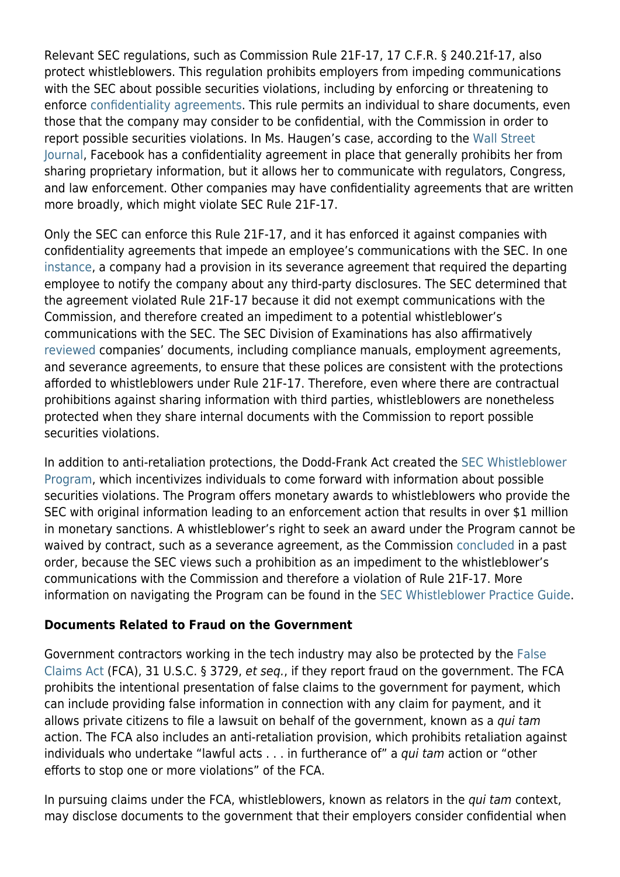Relevant SEC regulations, such as Commission Rule 21F-17, 17 C.F.R. § 240.21f-17, also protect whistleblowers. This regulation prohibits employers from impeding communications with the SEC about possible securities violations, including by enforcing or threatening to enforce [confidentiality agreements](https://kmblegal.com/sec-whistleblower-blog/sec-demonstrates-commitment-protecting-whistleblowers). This rule permits an individual to share documents, even those that the company may consider to be confidential, with the Commission in order to report possible securities violations. In Ms. Haugen's case, according to the [Wall Street](https://www.wsj.com/articles/the-facebook-whistleblower-frances-haugen-does-the-law-protect-her-11633453696?mod=searchresults_pos1&page=1) [Journal](https://www.wsj.com/articles/the-facebook-whistleblower-frances-haugen-does-the-law-protect-her-11633453696?mod=searchresults_pos1&page=1), Facebook has a confidentiality agreement in place that generally prohibits her from sharing proprietary information, but it allows her to communicate with regulators, Congress, and law enforcement. Other companies may have confidentiality agreements that are written more broadly, which might violate SEC Rule 21F-17.

Only the SEC can enforce this Rule 21F-17, and it has enforced it against companies with confidentiality agreements that impede an employee's communications with the SEC. In one [instance](https://www.sec.gov/litigation/admin/2016/34-78528.pdf), a company had a provision in its severance agreement that required the departing employee to notify the company about any third-party disclosures. The SEC determined that the agreement violated Rule 21F-17 because it did not exempt communications with the Commission, and therefore created an impediment to a potential whistleblower's communications with the SEC. The SEC Division of Examinations has also affirmatively [reviewed](https://www.sec.gov/ocie/announcement/ocie-2016-risk-alert-examining-whistleblower-rule-compliance.pdf) companies' documents, including compliance manuals, employment agreements, and severance agreements, to ensure that these polices are consistent with the protections afforded to whistleblowers under Rule 21F-17. Therefore, even where there are contractual prohibitions against sharing information with third parties, whistleblowers are nonetheless protected when they share internal documents with the Commission to report possible securities violations.

In addition to anti-retaliation protections, the Dodd-Frank Act created the [SEC Whistleblower](https://www.kmblegal.com/practice-areas/sec-whistleblower-law) [Program](https://www.kmblegal.com/practice-areas/sec-whistleblower-law), which incentivizes individuals to come forward with information about possible securities violations. The Program offers monetary awards to whistleblowers who provide the SEC with original information leading to an enforcement action that results in over \$1 million in monetary sanctions. A whistleblower's right to seek an award under the Program cannot be waived by contract, such as a severance agreement, as the Commission [concluded](https://www.sec.gov/litigation/admin/2016/34-78590.pdf) in a past order, because the SEC views such a prohibition as an impediment to the whistleblower's communications with the Commission and therefore a violation of Rule 21F-17. More information on navigating the Program can be found in the [SEC Whistleblower Practice Guide.](https://www.kmblegal.com/sites/default/files/SEC-Whistleblower-Practice-Guide.pdf)

#### **Documents Related to Fraud on the Government**

Government contractors working in the tech industry may also be protected by the [False](https://www.kmblegal.com/resources/qui-tamfalse-claims-act) [Claims Act](https://www.kmblegal.com/resources/qui-tamfalse-claims-act) (FCA), 31 U.S.C. § 3729, et seq., if they report fraud on the government. The FCA prohibits the intentional presentation of false claims to the government for payment, which can include providing false information in connection with any claim for payment, and it allows private citizens to file a lawsuit on behalf of the government, known as a qui tam action. The FCA also includes an anti-retaliation provision, which prohibits retaliation against individuals who undertake "lawful acts . . . in furtherance of" a *qui tam* action or "other efforts to stop one or more violations" of the FCA.

In pursuing claims under the FCA, whistleblowers, known as relators in the qui tam context, may disclose documents to the government that their employers consider confidential when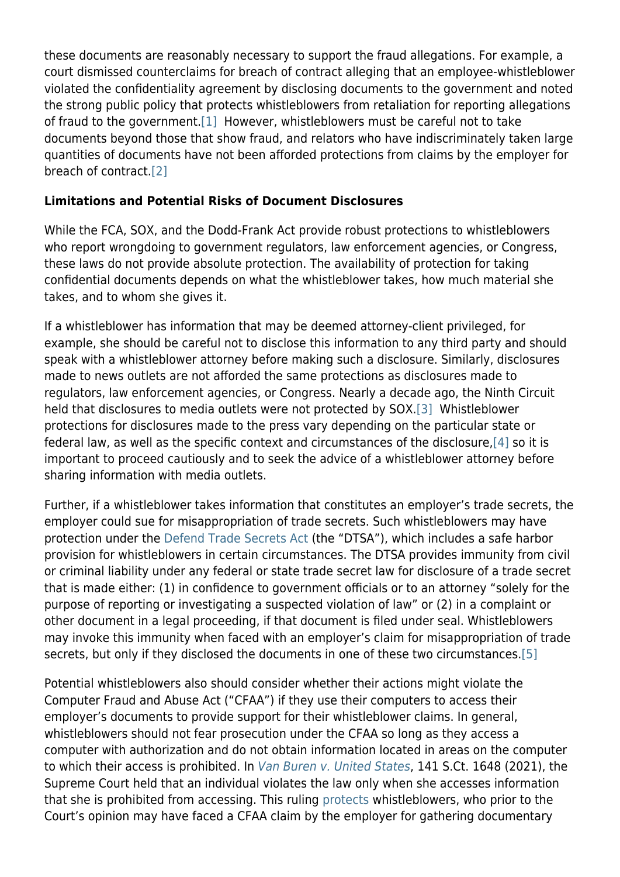these documents are reasonably necessary to support the fraud allegations. For example, a court dismissed counterclaims for breach of contract alleging that an employee-whistleblower violated the confidentiality agreement by disclosing documents to the government and noted the strong public policy that protects whistleblowers from retaliation for reporting allegations of fraud to the government[.\[1\]](https://www.kmblegal.com/printpdf/2504#_ftn1) However, whistleblowers must be careful not to take documents beyond those that show fraud, and relators who have indiscriminately taken large quantities of documents have not been afforded protections from claims by the employer for breach of contract[.\[2\]](https://www.kmblegal.com/printpdf/2504#_ftn2)

### **Limitations and Potential Risks of Document Disclosures**

While the FCA, SOX, and the Dodd-Frank Act provide robust protections to whistleblowers who report wrongdoing to government regulators, law enforcement agencies, or Congress, these laws do not provide absolute protection. The availability of protection for taking confidential documents depends on what the whistleblower takes, how much material she takes, and to whom she gives it.

If a whistleblower has information that may be deemed attorney-client privileged, for example, she should be careful not to disclose this information to any third party and should speak with a whistleblower attorney before making such a disclosure. Similarly, disclosures made to news outlets are not afforded the same protections as disclosures made to regulators, law enforcement agencies, or Congress. Nearly a decade ago, the Ninth Circuit held that disclosures to media outlets were not protected by SOX[.\[3\]](https://www.kmblegal.com/printpdf/2504#_ftn3) Whistleblower protections for disclosures made to the press vary depending on the particular state or federal law, as well as the specific context and circumstances of the disclosure,[\[4\]](https://www.kmblegal.com/printpdf/2504#_ftn4) so it is important to proceed cautiously and to seek the advice of a whistleblower attorney before sharing information with media outlets.

Further, if a whistleblower takes information that constitutes an employer's trade secrets, the employer could sue for misappropriation of trade secrets. Such whistleblowers may have protection under the [Defend Trade Secrets Act](https://www.kmblegal.com/sites/default/files/Will-DTSA-Whistleblower-Protection-Be-A-Game-Changer.pdf) (the "DTSA"), which includes a safe harbor provision for whistleblowers in certain circumstances. The DTSA provides immunity from civil or criminal liability under any federal or state trade secret law for disclosure of a trade secret that is made either: (1) in confidence to government officials or to an attorney "solely for the purpose of reporting or investigating a suspected violation of law" or (2) in a complaint or other document in a legal proceeding, if that document is filed under seal. Whistleblowers may invoke this immunity when faced with an employer's claim for misappropriation of trade secrets, but only if they disclosed the documents in one of these two circumstances.[\[5\]](https://www.kmblegal.com/printpdf/2504#_ftn5)

Potential whistleblowers also should consider whether their actions might violate the Computer Fraud and Abuse Act ("CFAA") if they use their computers to access their employer's documents to provide support for their whistleblower claims. In general, whistleblowers should not fear prosecution under the CFAA so long as they access a computer with authorization and do not obtain information located in areas on the computer to which their access is prohibited. In [Van Buren v. United States](https://www.supremecourt.gov/opinions/20pdf/19-783_k53l.pdf), 141 S.Ct. 1648 (2021), the Supreme Court held that an individual violates the law only when she accesses information that she is prohibited from accessing. This ruling [protects](https://www.kmblegal.com/whistleblower-blog/whistleblowers-accessing-company-documents-likely-will-not-be-prosecuted-under) whistleblowers, who prior to the Court's opinion may have faced a CFAA claim by the employer for gathering documentary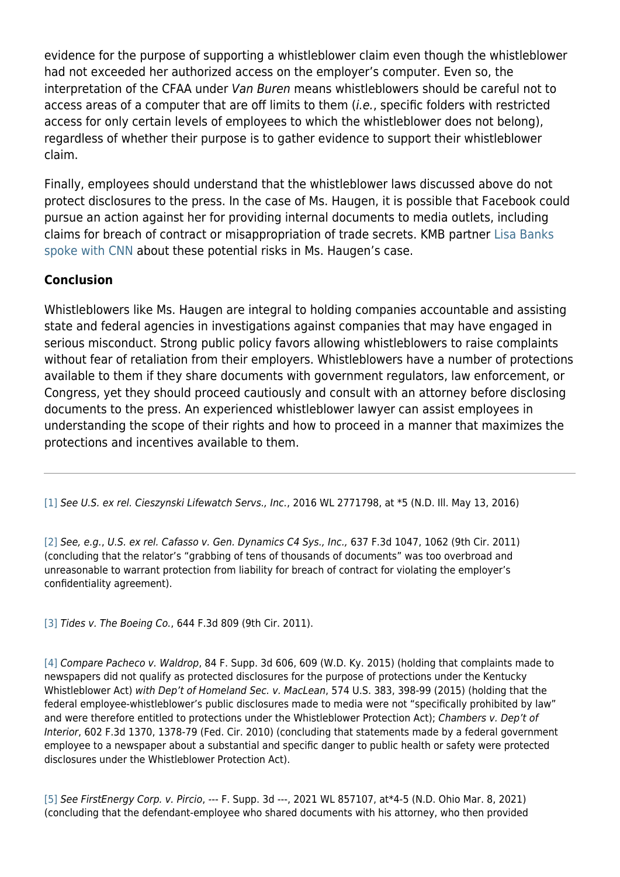evidence for the purpose of supporting a whistleblower claim even though the whistleblower had not exceeded her authorized access on the employer's computer. Even so, the interpretation of the CFAA under Van Buren means whistleblowers should be careful not to access areas of a computer that are off limits to them (*i.e.*, specific folders with restricted access for only certain levels of employees to which the whistleblower does not belong), regardless of whether their purpose is to gather evidence to support their whistleblower claim.

Finally, employees should understand that the whistleblower laws discussed above do not protect disclosures to the press. In the case of Ms. Haugen, it is possible that Facebook could pursue an action against her for providing internal documents to media outlets, including claims for breach of contract or misappropriation of trade secrets. KMB partner [Lisa Banks](https://www.cnn.com/videos/tech/2021/10/04/whistleblower-attorney-explains-facebook-whistleblower.cnn) [spoke with CNN](https://www.cnn.com/videos/tech/2021/10/04/whistleblower-attorney-explains-facebook-whistleblower.cnn) about these potential risks in Ms. Haugen's case.

#### **Conclusion**

Whistleblowers like Ms. Haugen are integral to holding companies accountable and assisting state and federal agencies in investigations against companies that may have engaged in serious misconduct. Strong public policy favors allowing whistleblowers to raise complaints without fear of retaliation from their employers. Whistleblowers have a number of protections available to them if they share documents with government regulators, law enforcement, or Congress, yet they should proceed cautiously and consult with an attorney before disclosing documents to the press. An experienced whistleblower lawyer can assist employees in understanding the scope of their rights and how to proceed in a manner that maximizes the protections and incentives available to them.

[\[1\]](https://www.kmblegal.com/printpdf/2504#_ftnref1) See U.S. ex rel. Cieszynski Lifewatch Servs., Inc., 2016 WL 2771798, at \*5 (N.D. III. May 13, 2016)

[\[2\]](https://www.kmblegal.com/printpdf/2504#_ftnref2) See, e.g., U.S. ex rel. Cafasso v. Gen. Dynamics C4 Sys., Inc., 637 F.3d 1047, 1062 (9th Cir. 2011) (concluding that the relator's "grabbing of tens of thousands of documents" was too overbroad and unreasonable to warrant protection from liability for breach of contract for violating the employer's confidentiality agreement).

[\[3\]](https://www.kmblegal.com/printpdf/2504#_ftnref3) Tides v. The Boeing Co., 644 F.3d 809 (9th Cir. 2011).

[\[4\]](https://www.kmblegal.com/printpdf/2504#_ftnref4) Compare Pacheco v. Waldrop, 84 F. Supp. 3d 606, 609 (W.D. Ky. 2015) (holding that complaints made to newspapers did not qualify as protected disclosures for the purpose of protections under the Kentucky Whistleblower Act) with Dep't of Homeland Sec. v. MacLean, 574 U.S. 383, 398-99 (2015) (holding that the federal employee-whistleblower's public disclosures made to media were not "specifically prohibited by law" and were therefore entitled to protections under the Whistleblower Protection Act); Chambers v. Dep't of Interior, 602 F.3d 1370, 1378-79 (Fed. Cir. 2010) (concluding that statements made by a federal government employee to a newspaper about a substantial and specific danger to public health or safety were protected disclosures under the Whistleblower Protection Act).

[\[5\]](https://www.kmblegal.com/printpdf/2504#_ftnref5) See FirstEnergy Corp. v. Pircio, --- F. Supp. 3d ---, 2021 WL 857107, at\*4-5 (N.D. Ohio Mar. 8, 2021) (concluding that the defendant-employee who shared documents with his attorney, who then provided